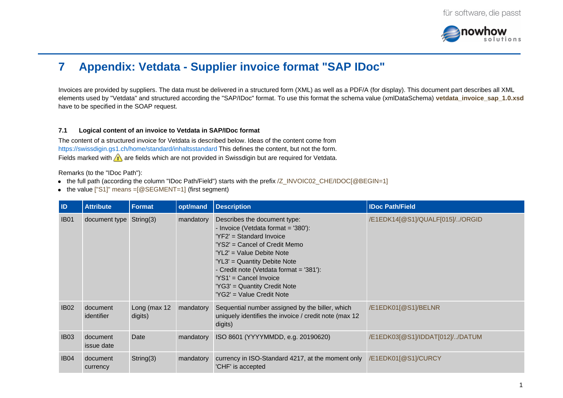

# **7 Appendix: Vetdata - Supplier invoice format "SAP IDoc"**

Invoices are provided by suppliers. The data must be delivered in a structured form (XML) as well as a PDF/A (for display). This document part describes all XML elements used by "Vetdata" and structured according the "SAP/IDoc" format. To use this format the schema value (xmlDataSchema) vetdata\_invoice\_sap\_1.0.xsd have to be specified in the SOAP request.

### **7.1 Logical content of an invoice to Vetdata in SAP/IDoc format**

The content of a structured invoice for Vetdata is described below. Ideas of the content come from <https://swissdigin.gs1.ch/home/standard/inhaltsstandard> This defines the content, but not the form. Fields marked with  $\bigwedge$  are fields which are not provided in Swissdigin but are required for Vetdata.

Remarks (to the "IDoc Path"):

- $\bullet$  the full path (according the column "IDoc Path/Field") starts with the prefix /Z\_INVOIC02\_CHE/IDOC[@BEGIN=1]
- the value  $['S1]'$  means  $=[@SEGMENT=1]$  (first segment)

| ID          | <b>Attribute</b>        | <b>Format</b>           | opt/mand  | <b>Description</b>                                                                                                                                                                                                                                                                                                                | <b>IDoc Path/Field</b>          |
|-------------|-------------------------|-------------------------|-----------|-----------------------------------------------------------------------------------------------------------------------------------------------------------------------------------------------------------------------------------------------------------------------------------------------------------------------------------|---------------------------------|
| <b>IB01</b> | document type String(3) |                         | mandatory | Describes the document type:<br>- Invoice (Vetdata format = '380'):<br>$'YF2' = Standard Invoice$<br>'YS2' = Cancel of Credit Memo<br>'YL2' = Value Debite Note<br>'YL3' = Quantity Debite Note<br>- Credit note (Vetdata format = '381'):<br>'YS1' = Cancel Invoice<br>'YG3' = Quantity Credit Note<br>'YG2' = Value Credit Note | /E1EDK14[@S1]/QUALF[015]//ORGID |
| <b>IB02</b> | document<br>identifier  | Long (max 12<br>digits) | mandatory | Sequential number assigned by the biller, which<br>uniquely identifies the invoice / credit note (max 12<br>digits)                                                                                                                                                                                                               | /E1EDK01[@S1]/BELNR             |
| <b>IB03</b> | document<br>issue date  | Date                    | mandatory | ISO 8601 (YYYYMMDD, e.g. 20190620)                                                                                                                                                                                                                                                                                                | /E1EDK03[@S1]/IDDAT[012]//DATUM |
| <b>IB04</b> | document<br>currency    | String(3)               | mandatory | currency in ISO-Standard 4217, at the moment only<br>'CHF' is accepted                                                                                                                                                                                                                                                            | /E1EDK01[@S1]/CURCY             |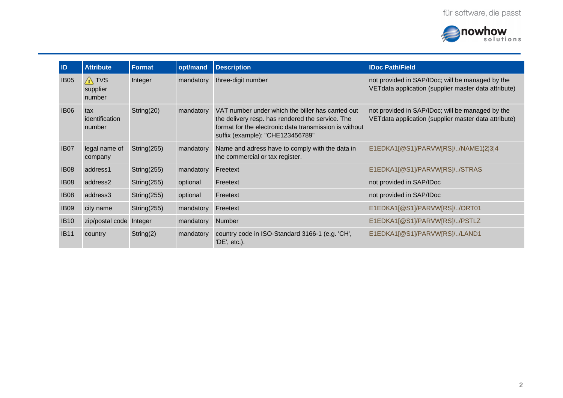

| ID               | <b>Attribute</b>                      | <b>Format</b>  | opt/mand  | <b>Description</b>                                                                                                                                                                                  | <b>IDoc Path/Field</b>                                                                                    |
|------------------|---------------------------------------|----------------|-----------|-----------------------------------------------------------------------------------------------------------------------------------------------------------------------------------------------------|-----------------------------------------------------------------------------------------------------------|
| <b>IB05</b>      | $\bigwedge$ TVS<br>supplier<br>number | Integer        | mandatory | three-digit number                                                                                                                                                                                  | not provided in SAP/IDoc; will be managed by the<br>VET data application (supplier master data attribute) |
| <b>IB06</b>      | tax<br>identification<br>number       | String(20)     | mandatory | VAT number under which the biller has carried out<br>the delivery resp. has rendered the service. The<br>format for the electronic data transmission is without<br>suffix (example): "CHE123456789" | not provided in SAP/IDoc; will be managed by the<br>VET data application (supplier master data attribute) |
| IB <sub>07</sub> | legal name of<br>company              | String(255)    | mandatory | Name and adress have to comply with the data in<br>the commercial or tax register.                                                                                                                  | E1EDKA1[@S1]/PARVW[RS]//NAME1¦2¦3¦4                                                                       |
| <b>IB08</b>      | address1                              | String $(255)$ | mandatory | Freetext                                                                                                                                                                                            | E1EDKA1[@S1]/PARVW[RS]//STRAS                                                                             |
| <b>IB08</b>      | address2                              | String $(255)$ | optional  | Freetext                                                                                                                                                                                            | not provided in SAP/IDoc                                                                                  |
| <b>IB08</b>      | address3                              | String $(255)$ | optional  | Freetext                                                                                                                                                                                            | not provided in SAP/IDoc                                                                                  |
| <b>IB09</b>      | city name                             | String $(255)$ | mandatory | Freetext                                                                                                                                                                                            | E1EDKA1[@S1]/PARVW[RS]//ORT01                                                                             |
| <b>IB10</b>      | zip/postal code                       | Integer        | mandatory | Number                                                                                                                                                                                              | E1EDKA1[@S1]/PARVW[RS]//PSTLZ                                                                             |
| <b>IB11</b>      | country                               | String $(2)$   | mandatory | country code in ISO-Standard 3166-1 (e.g. 'CH',<br>'DE', etc.).                                                                                                                                     | E1EDKA1[@S1]/PARVW[RS]//LAND1                                                                             |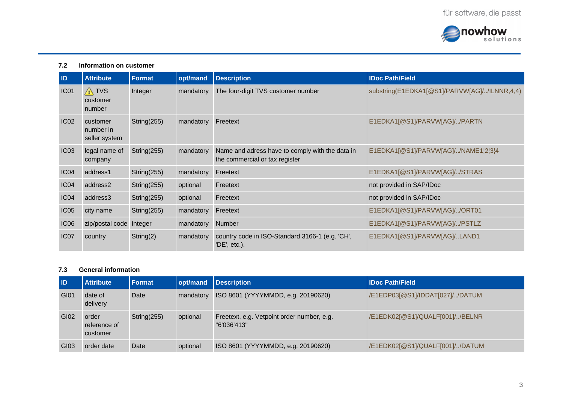

### **7.2 Information on customer**

| ID               | <b>Attribute</b>                       | <b>Format</b> | opt/mand  | <b>Description</b>                                                                | <b>IDoc Path/Field</b>                       |
|------------------|----------------------------------------|---------------|-----------|-----------------------------------------------------------------------------------|----------------------------------------------|
| IC01             | $\sqrt{N}$ TVS<br>customer<br>number   | Integer       | mandatory | The four-digit TVS customer number                                                | substring(E1EDKA1[@S1]/PARVW[AG]//ILNNR,4,4) |
| IC <sub>02</sub> | customer<br>number in<br>seller system | String(255)   | mandatory | Freetext                                                                          | E1EDKA1[@S1]/PARVW[AG]//PARTN                |
| IC03             | legal name of<br>company               | String(255)   | mandatory | Name and adress have to comply with the data in<br>the commercial or tax register | E1EDKA1[@S1]/PARVW[AG]//NAME1 2 3 4          |
| IC04             | address1                               | String(255)   | mandatory | Freetext                                                                          | E1EDKA1[@S1]/PARVW[AG]//STRAS                |
| IC <sub>04</sub> | address2                               | String(255)   | optional  | Freetext                                                                          | not provided in SAP/IDoc                     |
| IC <sub>04</sub> | address3                               | String(255)   | optional  | Freetext                                                                          | not provided in SAP/IDoc                     |
| IC <sub>05</sub> | city name                              | String(255)   | mandatory | Freetext                                                                          | E1EDKA1[@S1]/PARVW[AG]//ORT01                |
| IC <sub>06</sub> | zip/postal code                        | Integer       | mandatory | Number                                                                            | E1EDKA1[@S1]/PARVW[AG]//PSTLZ                |
| IC <sub>07</sub> | country                                | String(2)     | mandatory | country code in ISO-Standard 3166-1 (e.g. 'CH',<br>'DE', etc.).                   | E1EDKA1[@S1]/PARVW[AG]/LAND1                 |

# **7.3 General information**

| <b>ID</b> | <b>Attribute</b>                  | Format      | opt/mand  | Description                                               | <b>IDoc Path/Field</b>          |
|-----------|-----------------------------------|-------------|-----------|-----------------------------------------------------------|---------------------------------|
| GI01      | date of<br>delivery               | Date        | mandatory | ISO 8601 (YYYYMMDD, e.g. 20190620)                        | /E1EDP03[@S1]/IDDAT[027]//DATUM |
| GI02      | order<br>reference of<br>customer | String(255) | optional  | Freetext, e.g. Vetpoint order number, e.g.<br>"6'036'413" | /E1EDK02[@S1]/QUALF[001]//BELNR |
| GI03      | order date                        | Date        | optional  | ISO 8601 (YYYYMMDD, e.g. 20190620)                        | /E1EDK02[@S1]/QUALF[001]//DATUM |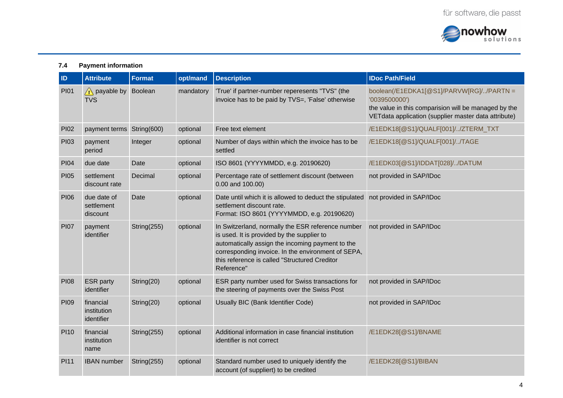

# **7.4 Payment information**

| ID          | <b>Attribute</b>                       | <b>Format</b>  | opt/mand  | <b>Description</b>                                                                                                                                                                                                                                                       | <b>IDoc Path/Field</b>                                                                                                                                                    |
|-------------|----------------------------------------|----------------|-----------|--------------------------------------------------------------------------------------------------------------------------------------------------------------------------------------------------------------------------------------------------------------------------|---------------------------------------------------------------------------------------------------------------------------------------------------------------------------|
| PI01        | $\bigwedge$ payable by<br><b>TVS</b>   | <b>Boolean</b> | mandatory | 'True' if partner-number reperesents "TVS" (the<br>invoice has to be paid by TVS=, 'False' otherwise                                                                                                                                                                     | boolean(/E1EDKA1[@S1]/PARVW[RG]//PARTN =<br>'0039500000')<br>the value in this comparision will be managed by the<br>VETdata application (supplier master data attribute) |
| <b>PI02</b> | payment terms String(600)              |                | optional  | Free text element                                                                                                                                                                                                                                                        | /E1EDK18[@S1]/QUALF[001]//ZTERM TXT                                                                                                                                       |
| PI03        | payment<br>period                      | Integer        | optional  | Number of days within which the invoice has to be<br>settled                                                                                                                                                                                                             | /E1EDK18[@S1]/QUALF[001]//TAGE                                                                                                                                            |
| <b>PI04</b> | due date                               | Date           | optional  | ISO 8601 (YYYYMMDD, e.g. 20190620)                                                                                                                                                                                                                                       | /E1EDK03[@S1]/IDDAT[028]//DATUM                                                                                                                                           |
| <b>PI05</b> | settlement<br>discount rate            | Decimal        | optional  | Percentage rate of settlement discount (between<br>0.00 and 100.00)                                                                                                                                                                                                      | not provided in SAP/IDoc                                                                                                                                                  |
| <b>PI06</b> | due date of<br>settlement<br>discount  | Date           | optional  | Date until which it is allowed to deduct the stipulated<br>settlement discount rate.<br>Format: ISO 8601 (YYYYMMDD, e.g. 20190620)                                                                                                                                       | not provided in SAP/IDoc                                                                                                                                                  |
| <b>PI07</b> | payment<br>identifier                  | String(255)    | optional  | In Switzerland, normally the ESR reference number<br>is used. It is provided by the supplier to<br>automatically assign the incoming payment to the<br>corresponding invoice. In the environment of SEPA,<br>this reference is called "Structured Creditor<br>Reference" | not provided in SAP/IDoc                                                                                                                                                  |
| <b>PI08</b> | <b>ESR</b> party<br>identifier         | String(20)     | optional  | ESR party number used for Swiss transactions for<br>the steering of payments over the Swiss Post                                                                                                                                                                         | not provided in SAP/IDoc                                                                                                                                                  |
| <b>PI09</b> | financial<br>institution<br>identifier | String(20)     | optional  | Usually BIC (Bank Identifier Code)                                                                                                                                                                                                                                       | not provided in SAP/IDoc                                                                                                                                                  |
| PI10        | financial<br>institution<br>name       | String(255)    | optional  | Additional information in case financial institution<br>identifier is not correct                                                                                                                                                                                        | /E1EDK28[@S1]/BNAME                                                                                                                                                       |
| <b>PI11</b> | <b>IBAN</b> number                     | String $(255)$ | optional  | Standard number used to uniquely identify the<br>account (of suppliert) to be credited                                                                                                                                                                                   | /E1EDK28[@S1]/BIBAN                                                                                                                                                       |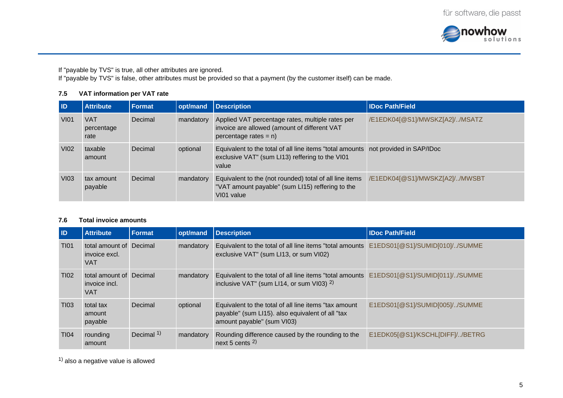

If "payable by TVS" is true, all other attributes are ignored.

If "payable by TVS" is false, other attributes must be provided so that a payment (by the customer itself) can be made.

## **7.5 VAT information per VAT rate**

| <b>ID</b>   | <b>Attribute</b>                 | <b>Format</b> | opt/mand  | <b>Description</b>                                                                                                                            | <b>IDoc Path/Field</b>         |
|-------------|----------------------------------|---------------|-----------|-----------------------------------------------------------------------------------------------------------------------------------------------|--------------------------------|
| <b>VI01</b> | <b>VAT</b><br>percentage<br>rate | Decimal       | mandatory | Applied VAT percentage rates, multiple rates per<br>invoice are allowed (amount of different VAT<br>percentage rates = $n$ )                  | /E1EDK04[@S1]/MWSKZ[A2]//MSATZ |
| <b>VI02</b> | taxable<br>amount                | Decimal       | optional  | Equivalent to the total of all line items "total amounts not provided in SAP/IDoc<br>exclusive VAT" (sum LI13) reffering to the VI01<br>value |                                |
| <b>VI03</b> | tax amount<br>payable            | Decimal       | mandatory | Equivalent to the (not rounded) total of all line items<br>"VAT amount payable" (sum LI15) reffering to the<br>VI01 value                     | /E1EDK04[@S1]/MWSKZ[A2]//MWSBT |

#### **7.6 Total invoice amounts**

| <b>ID</b>        | <b>Attribute</b>                                       | <b>Format</b> | opt/mand  | <b>Description</b>                                                                                                                      | <b>IDoc Path/Field</b>          |
|------------------|--------------------------------------------------------|---------------|-----------|-----------------------------------------------------------------------------------------------------------------------------------------|---------------------------------|
| <b>TI01</b>      | total amount of Decimal<br>invoice excl.<br><b>VAT</b> |               | mandatory | Equivalent to the total of all line items "total amounts E1EDS01[@S1]/SUMID[010]//SUMME<br>exclusive VAT" (sum LI13, or sum VI02)       |                                 |
| T <sub>102</sub> | total amount of Decimal<br>invoice incl.<br><b>VAT</b> |               | mandatory | Equivalent to the total of all line items "total amounts E1EDS01[@S1]/SUMID[011]//SUMME<br>inclusive VAT" (sum LI14, or sum VI03) $2$ ) |                                 |
| T <sub>103</sub> | total tax<br>amount<br>payable                         | Decimal       | optional  | Equivalent to the total of all line items "tax amount<br>payable" (sum LI15). also equivalent of all "tax<br>amount payable" (sum VI03) | E1EDS01[@S1]/SUMID[005]//SUMME  |
| <b>TI04</b>      | rounding<br>amount                                     | Decimal $1$ ) | mandatory | Rounding difference caused by the rounding to the<br>next 5 cents $2$ )                                                                 | E1EDK05[@S1]/KSCHL[DIFF]//BETRG |

 $^{1)}$  also a negative value is allowed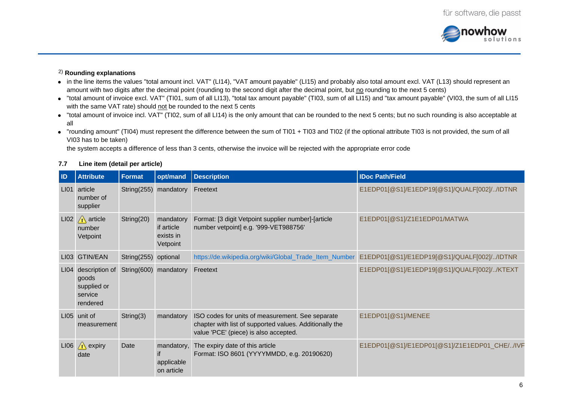

# **Rounding explanations** 2)

- in the line items the values "total amount incl. VAT" (LI14), "VAT amount payable" (LI15) and probably also total amount excl. VAT (L13) should represent an amount with two digits after the decimal point (rounding to the second digit after the decimal point, but no rounding to the next 5 cents)
- $\bullet$  "total amount of invoice excl. VAT" (TI01, sum of all LI13), "total tax amount payable" (TI03, sum of all LI15) and "tax amount payable" (VI03, the sum of all LI15 with the same VAT rate) should not be rounded to the next 5 cents
- "total amount of invoice incl. VAT" (TI02, sum of all LI14) is the only amount that can be rounded to the next 5 cents; but no such rounding is also acceptable at all
- "rounding amount" (TI04) must represent the difference between the sum of TI01 + TI03 and TI02 (if the optional attribute TI03 is not provided, the sum of all VI03 has to be taken)

the system accepts a difference of less than 3 cents, otherwise the invoice will be rejected with the appropriate error code

### **7.7 Line item (detail per article)**

| ID   | <b>Attribute</b>                                              | <b>Format</b>         | opt/mand                                         | <b>Description</b>                                                                                                                                   | <b>IDoc Path/Field</b>                       |
|------|---------------------------------------------------------------|-----------------------|--------------------------------------------------|------------------------------------------------------------------------------------------------------------------------------------------------------|----------------------------------------------|
| LI01 | article<br>number of<br>supplier                              | String(255) mandatory |                                                  | Freetext                                                                                                                                             | E1EDP01[@S1]/E1EDP19[@S1]/QUALF[002]//IDTNR  |
| LIO2 | $\sqrt{N}$ article<br>number<br>Vetpoint                      | String(20)            | mandatory<br>if article<br>exists in<br>Vetpoint | Format: [3 digit Vetpoint supplier number]-[article<br>number vetpoint] e.g. '999-VET988756'                                                         | E1EDP01[@S1]/Z1E1EDP01/MATWA                 |
| L103 | <b>GTIN/EAN</b>                                               | String $(255)$        | optional                                         | https://de.wikipedia.org/wiki/Global Trade Item Number                                                                                               | E1EDP01[@S1]/E1EDP19[@S1]/QUALF[002]//IDTNR  |
| LI04 | description of<br>goods<br>supplied or<br>service<br>rendered | String(600)           | mandatory                                        | Freetext                                                                                                                                             | E1EDP01[@S1]/E1EDP19[@S1]/QUALF[002]//KTEXT  |
| LI05 | unit of<br>measurement                                        | String(3)             | mandatory                                        | ISO codes for units of measurement. See separate<br>chapter with list of supported values. Additionally the<br>value 'PCE' (piece) is also accepted. | E1EDP01[@S1]/MENEE                           |
| LI06 | $\sqrt{N}$ expiry<br>date                                     | Date                  | mandatory,<br>applicable<br>on article           | The expiry date of this article<br>Format: ISO 8601 (YYYYMMDD, e.g. 20190620)                                                                        | E1EDP01[@S1]/E1EDP01[@S1]/Z1E1EDP01_CHE//IVF |